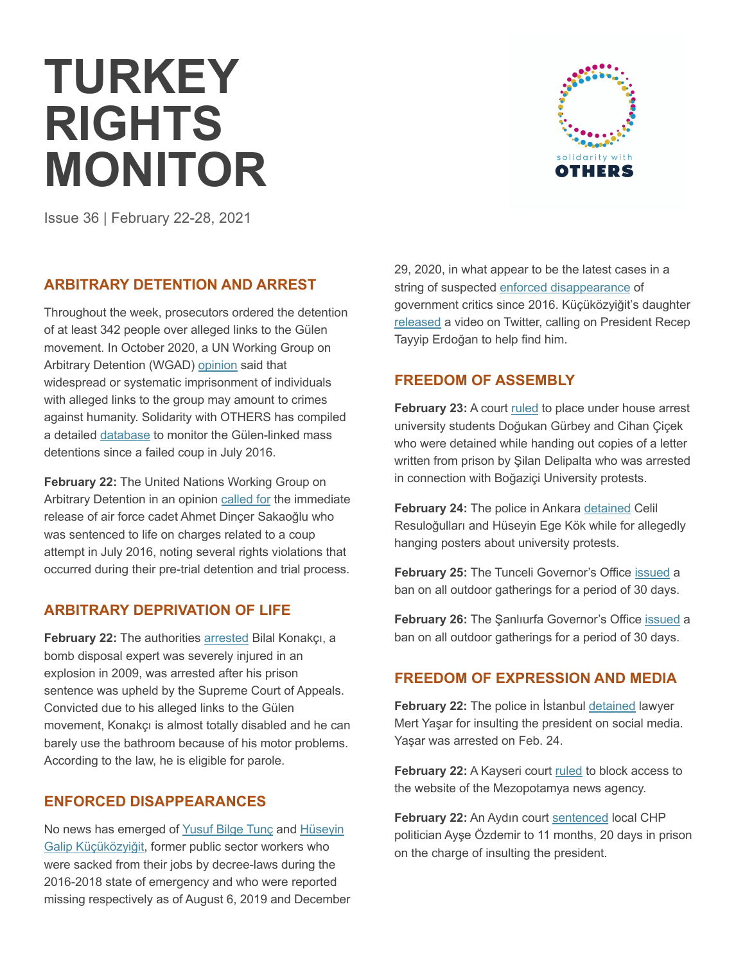# **TURKEY RIGHTS MONITOR**



Issue 36 | February 22-28, 2021

## **ARBITRARY DETENTION AND ARREST**

Throughout the week, prosecutors ordered the detention of at least 342 people over alleged links to the Gülen movement. In October 2020, a UN Working Group on Arbitrary Detention (WGAD) opinion said that widespread or systematic imprisonment of individuals with alleged links to the group may amount to crimes against humanity. Solidarity with OTHERS has compiled a detailed database to monitor the Gülen-linked mass detentions since a failed coup in July 2016.

**February 22:** The United Nations Working Group on Arbitrary Detention in an opinion called for the immediate release of air force cadet Ahmet Dinçer Sakaoğlu who was sentenced to life on charges related to a coup attempt in July 2016, noting several rights violations that occurred during their pre-trial detention and trial process.

# **ARBITRARY DEPRIVATION OF LIFE**

**February 22:** The authorities arrested Bilal Konakçı, a bomb disposal expert was severely injured in an explosion in 2009, was arrested after his prison sentence was upheld by the Supreme Court of Appeals. Convicted due to his alleged links to the Gülen movement, Konakçı is almost totally disabled and he can barely use the bathroom because of his motor problems. According to the law, he is eligible for parole.

# **ENFORCED DISAPPEARANCES**

No news has emerged of Yusuf Bilge Tunç and Hüseyin Galip Küçüközyiğit, former public sector workers who were sacked from their jobs by decree-laws during the 2016-2018 state of emergency and who were reported missing respectively as of August 6, 2019 and December 29, 2020, in what appear to be the latest cases in a string of suspected enforced disappearance of government critics since 2016. Küçüközyiğit's daughter released a video on Twitter, calling on President Recep Tayyip Erdoğan to help find him.

# **FREEDOM OF ASSEMBLY**

February 23: A court ruled to place under house arrest university students Doğukan Gürbey and Cihan Çiçek who were detained while handing out copies of a letter written from prison by Şilan Delipalta who was arrested in connection with Boğaziçi University protests.

February 24: The police in Ankara detained Celil Resuloğulları and Hüseyin Ege Kök while for allegedly hanging posters about university protests.

**February 25:** The Tunceli Governor's Office issued a ban on all outdoor gatherings for a period of 30 days.

**February 26:** The Şanlıurfa Governor's Office issued a ban on all outdoor gatherings for a period of 30 days.

# **FREEDOM OF EXPRESSION AND MEDIA**

**February 22:** The police in İstanbul detained lawyer Mert Yaşar for insulting the president on social media. Yaşar was arrested on Feb. 24.

**February 22:** A Kayseri court ruled to block access to the website of the Mezopotamya news agency.

**February 22:** An Aydın court sentenced local CHP politician Ayşe Özdemir to 11 months, 20 days in prison on the charge of insulting the president.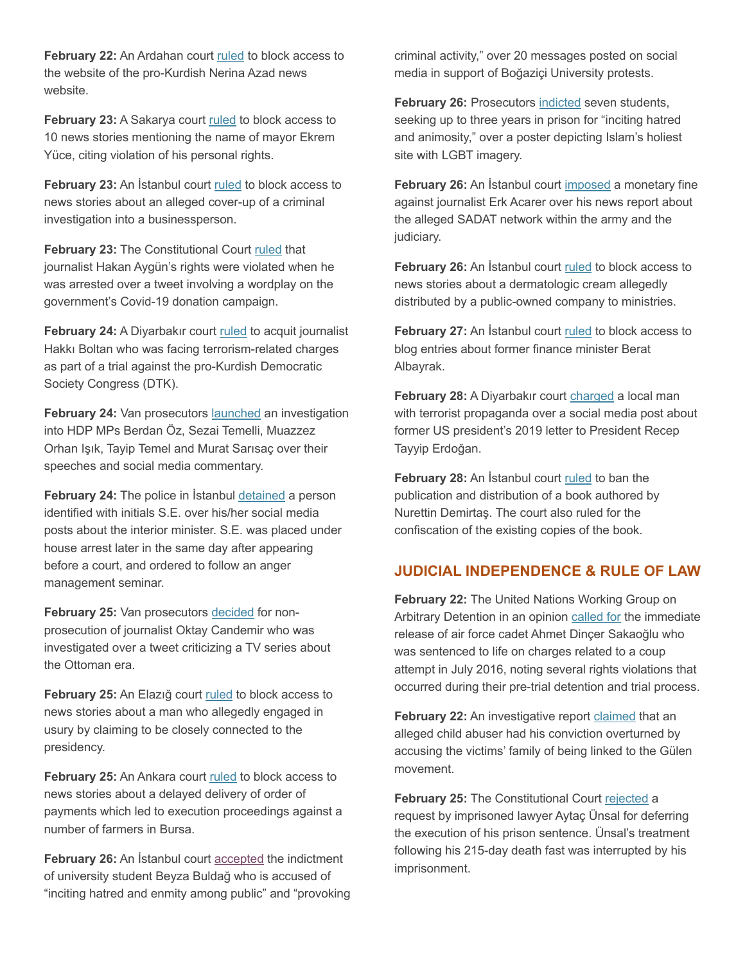**February 22:** An Ardahan court ruled to block access to the website of the pro-Kurdish Nerina Azad news website.

February 23: A Sakarya court ruled to block access to 10 news stories mentioning the name of mayor Ekrem Yüce, citing violation of his personal rights.

**February 23:** An İstanbul court ruled to block access to news stories about an alleged cover-up of a criminal investigation into a businessperson.

**February 23:** The Constitutional Court ruled that journalist Hakan Aygün's rights were violated when he was arrested over a tweet involving a wordplay on the government's Covid-19 donation campaign.

**February 24:** A Diyarbakır court ruled to acquit journalist Hakkı Boltan who was facing terrorism-related charges as part of a trial against the pro-Kurdish Democratic Society Congress (DTK).

**February 24:** Van prosecutors launched an investigation into HDP MPs Berdan Öz, Sezai Temelli, Muazzez Orhan Işık, Tayip Temel and Murat Sarısaç over their speeches and social media commentary.

**February 24:** The police in İstanbul detained a person identified with initials S.E. over his/her social media posts about the interior minister. S.E. was placed under house arrest later in the same day after appearing before a court, and ordered to follow an anger management seminar.

**February 25:** Van prosecutors decided for nonprosecution of journalist Oktay Candemir who was investigated over a tweet criticizing a TV series about the Ottoman era.

**February 25:** An Elazığ court ruled to block access to news stories about a man who allegedly engaged in usury by claiming to be closely connected to the presidency.

February 25: An Ankara court ruled to block access to news stories about a delayed delivery of order of payments which led to execution proceedings against a number of farmers in Bursa.

**February 26:** An İstanbul court accepted the indictment of university student Beyza Buldağ who is accused of "inciting hatred and enmity among public" and "provoking criminal activity," over 20 messages posted on social media in support of Boğaziçi University protests.

**February 26:** Prosecutors indicted seven students, seeking up to three years in prison for "inciting hatred and animosity," over a poster depicting Islam's holiest site with LGBT imagery.

**February 26:** An İstanbul court imposed a monetary fine against journalist Erk Acarer over his news report about the alleged SADAT network within the army and the judiciary.

**February 26:** An İstanbul court ruled to block access to news stories about a dermatologic cream allegedly distributed by a public-owned company to ministries.

**February 27:** An İstanbul court ruled to block access to blog entries about former finance minister Berat Albayrak.

**February 28:** A Diyarbakır court charged a local man with terrorist propaganda over a social media post about former US president's 2019 letter to President Recep Tayyip Erdoğan.

**February 28:** An İstanbul court ruled to ban the publication and distribution of a book authored by Nurettin Demirtaş. The court also ruled for the confiscation of the existing copies of the book.

## **JUDICIAL INDEPENDENCE & RULE OF LAW**

**February 22:** The United Nations Working Group on Arbitrary Detention in an opinion called for the immediate release of air force cadet Ahmet Dinçer Sakaoğlu who was sentenced to life on charges related to a coup attempt in July 2016, noting several rights violations that occurred during their pre-trial detention and trial process.

**February 22:** An investigative report claimed that an alleged child abuser had his conviction overturned by accusing the victims' family of being linked to the Gülen movement.

**February 25:** The Constitutional Court rejected a request by imprisoned lawyer Aytaç Ünsal for deferring the execution of his prison sentence. Ünsal's treatment following his 215-day death fast was interrupted by his imprisonment.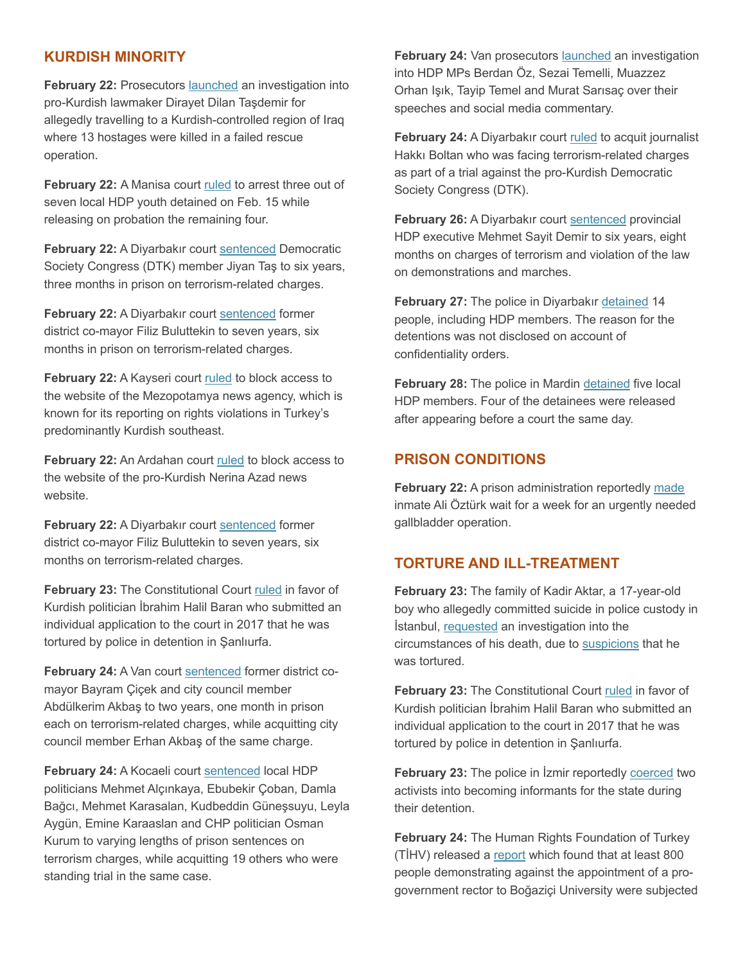### **KURDISH MINORITY**

**February 22: Prosecutors launched an investigation into** pro-Kurdish lawmaker Dirayet Dilan Taşdemir for allegedly travelling to a Kurdish-controlled region of Iraq where 13 hostages were killed in a failed rescue operation.

**February 22:** A Manisa court ruled to arrest three out of seven local HDP youth detained on Feb. 15 while releasing on probation the remaining four.

**February 22:** A Diyarbakır court sentenced Democratic Society Congress (DTK) member Jiyan Taş to six years, three months in prison on terrorism-related charges.

**February 22:** A Diyarbakır court sentenced former district co-mayor Filiz Buluttekin to seven years, six months in prison on terrorism-related charges.

**February 22:** A Kayseri court ruled to block access to the website of the Mezopotamya news agency, which is known for its reporting on rights violations in Turkey's predominantly Kurdish southeast.

February 22: An Ardahan court ruled to block access to the website of the pro-Kurdish Nerina Azad news website.

**February 22:** A Diyarbakır court sentenced former district co-mayor Filiz Buluttekin to seven years, six months on terrorism-related charges.

**February 23:** The Constitutional Court ruled in favor of Kurdish politician İbrahim Halil Baran who submitted an individual application to the court in 2017 that he was tortured by police in detention in Şanlıurfa.

**February 24:** A Van court sentenced former district comayor Bayram Çiçek and city council member Abdülkerim Akbaş to two years, one month in prison each on terrorism-related charges, while acquitting city council member Erhan Akbaş of the same charge.

**February 24:** A Kocaeli court sentenced local HDP politicians Mehmet Alçınkaya, Ebubekir Çoban, Damla Bağcı, Mehmet Karasalan, Kudbeddin Güneşsuyu, Leyla Aygün, Emine Karaaslan and CHP politician Osman Kurum to varying lengths of prison sentences on terrorism charges, while acquitting 19 others who were standing trial in the same case.

**February 24:** Van prosecutors launched an investigation into HDP MPs Berdan Öz, Sezai Temelli, Muazzez Orhan Işık, Tayip Temel and Murat Sarısaç over their speeches and social media commentary.

**February 24:** A Diyarbakır court ruled to acquit journalist Hakkı Boltan who was facing terrorism-related charges as part of a trial against the pro-Kurdish Democratic Society Congress (DTK).

February 26: A Diyarbakır court sentenced provincial HDP executive Mehmet Sayit Demir to six years, eight months on charges of terrorism and violation of the law on demonstrations and marches.

**February 27:** The police in Diyarbakır detained 14 people, including HDP members. The reason for the detentions was not disclosed on account of confidentiality orders.

**February 28:** The police in Mardin detained five local HDP members. Four of the detainees were released after appearing before a court the same day.

#### **PRISON CONDITIONS**

**February 22:** A prison administration reportedly made inmate Ali Öztürk wait for a week for an urgently needed gallbladder operation.

## **TORTURE AND ILL-TREATMENT**

**February 23:** The family of Kadir Aktar, a 17-year-old boy who allegedly committed suicide in police custody in İstanbul, requested an investigation into the circumstances of his death, due to suspicions that he was tortured.

**February 23:** The Constitutional Court ruled in favor of Kurdish politician İbrahim Halil Baran who submitted an individual application to the court in 2017 that he was tortured by police in detention in Şanlıurfa.

**February 23:** The police in İzmir reportedly coerced two activists into becoming informants for the state during their detention.

**February 24:** The Human Rights Foundation of Turkey (TİHV) released a report which found that at least 800 people demonstrating against the appointment of a progovernment rector to Boğaziçi University were subjected